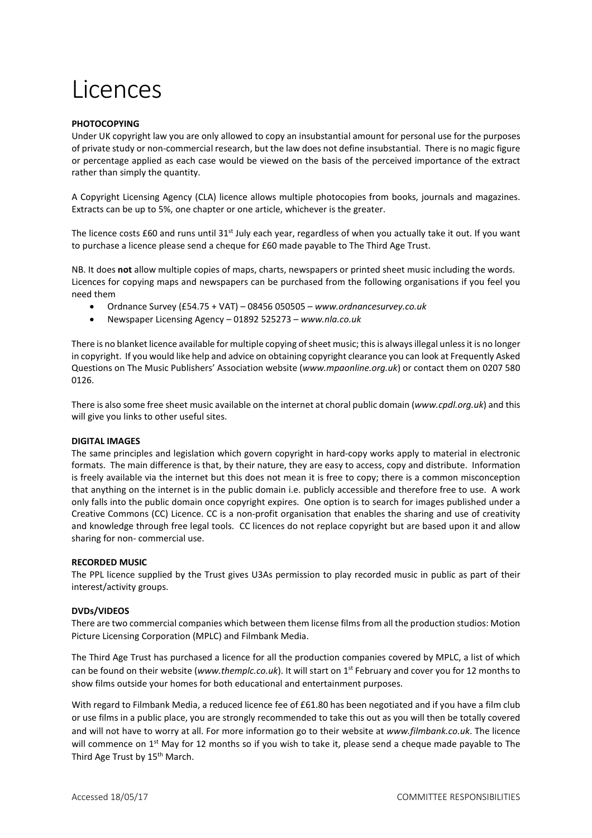# Licences

### **PHOTOCOPYING**

Under UK copyright law you are only allowed to copy an insubstantial amount for personal use for the purposes of private study or non-commercial research, but the law does not define insubstantial. There is no magic figure or percentage applied as each case would be viewed on the basis of the perceived importance of the extract rather than simply the quantity.

A Copyright Licensing Agency (CLA) licence allows multiple photocopies from books, journals and magazines. Extracts can be up to 5%, one chapter or one article, whichever is the greater.

The licence costs £60 and runs until 31<sup>st</sup> July each year, regardless of when you actually take it out. If you want to purchase a licence please send a cheque for £60 made payable to The Third Age Trust.

NB. It does **not** allow multiple copies of maps, charts, newspapers or printed sheet music including the words. Licences for copying maps and newspapers can be purchased from the following organisations if you feel you need them

- Ordnance Survey (£54.75 + VAT) 08456 050505 *www.ordnancesurvey.co.uk*
- Newspaper Licensing Agency 01892 525273 *www.nla.co.uk*

There is no blanket licence available for multiple copying of sheet music; this is always illegal unless it is no longer in copyright. If you would like help and advice on obtaining copyright clearance you can look at Frequently Asked Questions on The Music Publishers' Association website (*www.mpaonline.org.uk*) or contact them on 0207 580 0126.

There is also some free sheet music available on the internet at choral public domain (*www.cpdl.org.uk*) and this will give you links to other useful sites.

#### **DIGITAL IMAGES**

The same principles and legislation which govern copyright in hard-copy works apply to material in electronic formats. The main difference is that, by their nature, they are easy to access, copy and distribute. Information is freely available via the internet but this does not mean it is free to copy; there is a common misconception that anything on the internet is in the public domain i.e. publicly accessible and therefore free to use. A work only falls into the public domain once copyright expires. One option is to search for images published under a Creative Commons (CC) Licence. CC is a non-profit organisation that enables the sharing and use of creativity and knowledge through free legal tools. CC licences do not replace copyright but are based upon it and allow sharing for non- commercial use.

#### **RECORDED MUSIC**

The PPL licence supplied by the Trust gives U3As permission to play recorded music in public as part of their interest/activity groups.

## **DVDs/VIDEOS**

There are two commercial companies which between them license films from all the production studios: Motion Picture Licensing Corporation (MPLC) and Filmbank Media.

The Third Age Trust has purchased a licence for all the production companies covered by MPLC, a list of which can be found on their website (*www.themplc.co.uk*). It will start on 1<sup>st</sup> February and cover you for 12 months to show films outside your homes for both educational and entertainment purposes.

With regard to Filmbank Media, a reduced licence fee of £61.80 has been negotiated and if you have a film club or use films in a public place, you are strongly recommended to take this out as you will then be totally covered and will not have to worry at all. For more information go to their website at *www.filmbank.co.uk*. The licence will commence on 1<sup>st</sup> May for 12 months so if you wish to take it, please send a cheque made payable to The Third Age Trust by 15<sup>th</sup> March.